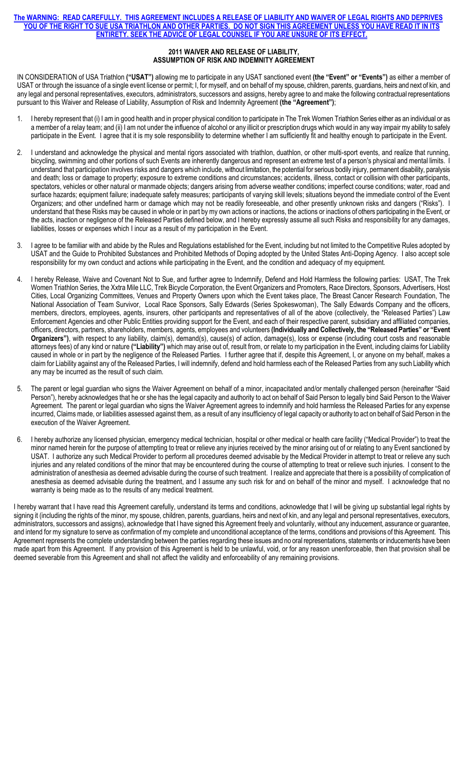## **The WARNING: READ CAREFULLY. THIS AGREEMENT INCLUDES A RELEASE OF LIABILITY AND WAIVER OF LEGAL RIGHTS AND DEPRIVES YOU OF THE RIGHT TO SUE USA TRIATHLON AND OTHER PARTIES. DO NOT SIGN THIS AGREEMENT UNLESS YOU HAVE READ IT IN ITS ENTIRETY. SEEK THE ADVICE OF LEGAL COUNSEL IF YOU ARE UNSURE OF ITS EFFECT.**

## **2011 WAIVER AND RELEASE OF LIABILITY, ASSUMPTION OF RISK AND INDEMNITY AGREEMENT**

IN CONSIDERATION of USA Triathlon **("USAT")** allowing me to participate in any USAT sanctioned event **(the "Event" or "Events")** as either a member of USAT or through the issuance of a single event license or permit; I, for myself, and on behalf of my spouse, children, parents, guardians, heirs and next of kin, and any legal and personal representatives, executors, administrators, successors and assigns, hereby agree to and make the following contractual representations pursuant to this Waiver and Release of Liability, Assumption of Risk and Indemnity Agreement **(the "Agreement")**;

- 1. I hereby represent that (i) I am in good health and in proper physical condition to participate in The Trek Women Triathlon Series either as an individual or as a member of a relay team; and (ii) I am not under the influence of alcohol or any illicit or prescription drugs which would in any way impair my ability to safely participate in the Event. I agree that it is my sole responsibility to determine whether I am sufficiently fit and healthy enough to participate in the Event.
- 2. I understand and acknowledge the physical and mental rigors associated with triathlon, duathlon, or other multi-sport events, and realize that running, bicycling, swimming and other portions of such Events are inherently dangerous and represent an extreme test of a person's physical and mental limits. I understand that participation involves risks and dangers which include, without limitation, the potential for serious bodily injury, permanent disability, paralysis and death; loss or damage to property; exposure to extreme conditions and circumstances; accidents, illness, contact or collision with other participants, spectators, vehicles or other natural or manmade objects; dangers arising from adverse weather conditions; imperfect course conditions; water, road and surface hazards; equipment failure; inadequate safety measures; participants of varying skill levels; situations beyond the immediate control of the Event Organizers; and other undefined harm or damage which may not be readily foreseeable, and other presently unknown risks and dangers ("Risks"). I understand that these Risks may be caused in whole or in part by my own actions or inactions, the actions or inactions of others participating in the Event, or the acts, inaction or negligence of the Released Parties defined below, and I hereby expressly assume all such Risks and responsibility for any damages, liabilities, losses or expenses which I incur as a result of my participation in the Event.
- 3. I agree to be familiar with and abide by the Rules and Regulations established for the Event, including but not limited to the Competitive Rules adopted by USAT and the Guide to Prohibited Substances and Prohibited Methods of Doping adopted by the United States Anti-Doping Agency. I also accept sole responsibility for my own conduct and actions while participating in the Event, and the condition and adequacy of my equipment.
- 4. I hereby Release, Waive and Covenant Not to Sue, and further agree to Indemnify, Defend and Hold Harmless the following parties: USAT, The Trek Women Triathlon Series, the Xxtra Mile LLC, Trek Bicycle Corporation, the Event Organizers and Promoters, Race Directors, Sponsors, Advertisers, Host Cities, Local Organizing Committees, Venues and Property Owners upon which the Event takes place, The Breast Cancer Research Foundation, The National Association of Team Survivor, Local Race Sponsors, Sally Edwards (Series Spokeswoman), The Sally Edwards Company and the officers, members, directors, employees, agents, insurers, other participants and representatives of all of the above (collectively, the "Released Parties") Law Enforcement Agencies and other Public Entities providing support for the Event, and each of their respective parent, subsidiary and affiliated companies, officers, directors, partners, shareholders, members, agents, employees and volunteers **(Individually and Collectively, the "Released Parties" or "Event Organizers")**, with respect to any liability, claim(s), demand(s), cause(s) of action, damage(s), loss or expense (including court costs and reasonable attorneys fees) of any kind or nature **("Liability")** which may arise out of, result from, or relate to my participation in the Event, including claims for Liability caused in whole or in part by the negligence of the Released Parties. I further agree that if, despite this Agreement, I, or anyone on my behalf, makes a claim for Liability against any of the Released Parties, I will indemnify, defend and hold harmless each of the Released Parties from any such Liability which any may be incurred as the result of such claim.
- 5. The parent or legal guardian who signs the Waiver Agreement on behalf of a minor, incapacitated and/or mentally challenged person (hereinafter "Said Person"), hereby acknowledges that he or she has the legal capacity and authority to act on behalf of Said Person to legally bind Said Person to the Waiver Agreement. The parent or legal guardian who signs the Waiver Agreement agrees to indemnify and hold harmless the Released Parties for any expense incurred, Claims made, or liabilities assessed against them, as a result of any insufficiency of legal capacity or authority to act on behalf of Said Person in the execution of the Waiver Agreement.
- 6. I hereby authorize any licensed physician, emergency medical technician, hospital or other medical or health care facility ("Medical Provider") to treat the minor named herein for the purpose of attempting to treat or relieve any injuries received by the minor arising out of or relating to any Event sanctioned by USAT. I authorize any such Medical Provider to perform all procedures deemed advisable by the Medical Provider in attempt to treat or relieve any such injuries and any related conditions of the minor that may be encountered during the course of attempting to treat or relieve such injuries. I consent to the administration of anesthesia as deemed advisable during the course of such treatment. I realize and appreciate that there is a possibility of complication of anesthesia as deemed advisable during the treatment, and I assume any such risk for and on behalf of the minor and myself. I acknowledge that no warranty is being made as to the results of any medical treatment.

I hereby warrant that I have read this Agreement carefully, understand its terms and conditions, acknowledge that I will be giving up substantial legal rights by signing it (including the rights of the minor, my spouse, children, parents, guardians, heirs and next of kin, and any legal and personal representatives, executors, administrators, successors and assigns), acknowledge that I have signed this Agreement freely and voluntarily, without any inducement, assurance or guarantee, and intend for my signature to serve as confirmation of my complete and unconditional acceptance of the terms, conditions and provisions of this Agreement. This Agreement represents the complete understanding between the parties regarding these issues and no oral representations, statements or inducements have been made apart from this Agreement. If any provision of this Agreement is held to be unlawful, void, or for any reason unenforceable, then that provision shall be deemed severable from this Agreement and shall not affect the validity and enforceability of any remaining provisions.